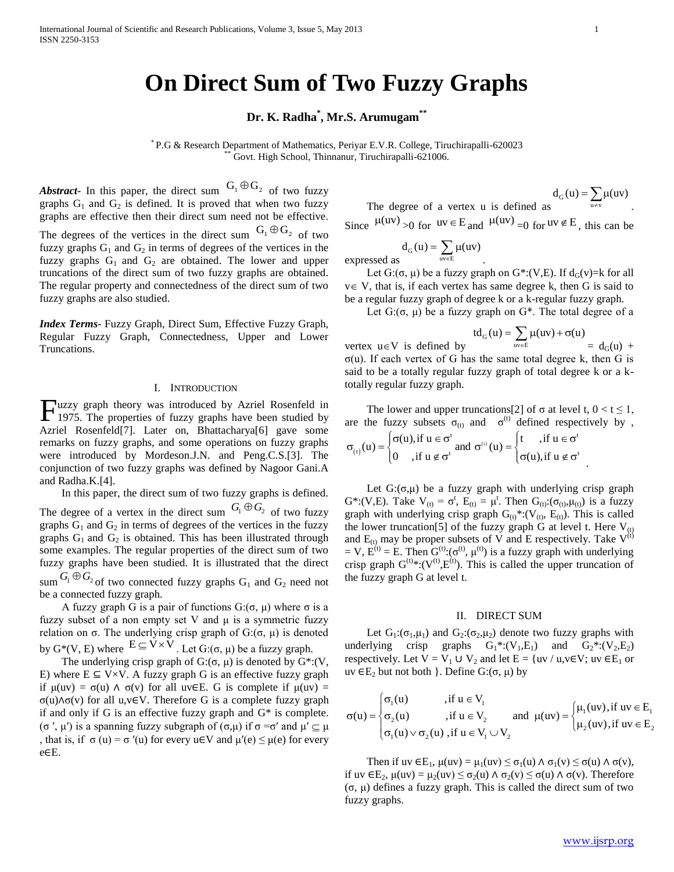## **On Direct Sum of Two Fuzzy Graphs**

**Dr. K. Radha\* , Mr.S. Arumugam\*\***

\* P.G & Research Department of Mathematics, Periyar E.V.R. College, Tiruchirapalli-620023 Govt. High School, Thinnanur, Tiruchirapalli-621006.

*Abstract* - In this paper, the direct sum  $G_1 \oplus G_2$  of two fuzzy graphs  $G_1$  and  $G_2$  is defined. It is proved that when two fuzzy graphs are effective then their direct sum need not be effective.

The degrees of the vertices in the direct sum  $G_1 \oplus G_2$  of two fuzzy graphs  $G_1$  and  $G_2$  in terms of degrees of the vertices in the fuzzy graphs  $G_1$  and  $G_2$  are obtained. The lower and upper truncations of the direct sum of two fuzzy graphs are obtained. The regular property and connectedness of the direct sum of two fuzzy graphs are also studied.

*Index Terms*- Fuzzy Graph, Direct Sum, Effective Fuzzy Graph, Regular Fuzzy Graph, Connectedness, Upper and Lower Truncations.

## I. INTRODUCTION

Tuzzy graph theory was introduced by Azriel Rosenfeld in Fuzzy graph theory was introduced by Azriel Rosenfeld in 1975. The properties of fuzzy graphs have been studied by Azriel Rosenfeld[7]. Later on, Bhattacharya[6] gave some remarks on fuzzy graphs, and some operations on fuzzy graphs were introduced by Mordeson.J.N. and Peng.C.S.[3]. The conjunction of two fuzzy graphs was defined by Nagoor Gani.A and Radha.K.[4].

 In this paper, the direct sum of two fuzzy graphs is defined. The degree of a vertex in the direct sum  $G_1 \oplus G_2$  of two fuzzy graphs  $G_1$  and  $G_2$  in terms of degrees of the vertices in the fuzzy graphs  $G_1$  and  $G_2$  is obtained. This has been illustrated through some examples. The regular properties of the direct sum of two fuzzy graphs have been studied. It is illustrated that the direct  $\operatorname{sum} G_1 \oplus G_2$  of two connected fuzzy graphs  $G_1$  and  $G_2$  need not be a connected fuzzy graph.

A fuzzy graph G is a pair of functions  $G: (\sigma, \mu)$  where  $\sigma$  is a fuzzy subset of a non empty set V and μ is a symmetric fuzzy relation on σ. The underlying crisp graph of  $G: (σ, μ)$  is denoted by  $G^*(V, E)$  where  $E \subseteq V \times V$ . Let  $G: (\sigma, \mu)$  be a fuzzy graph.

The underlying crisp graph of  $G: (\sigma, \mu)$  is denoted by  $G^*: (V, \mu)$ E) where  $E \subseteq V \times V$ . A fuzzy graph G is an effective fuzzy graph if  $\mu(uv) = \sigma(u)$   $\wedge \sigma(v)$  for all uv∈E. G is complete if  $\mu(uv) =$ σ(u)∧σ(v) for all u,v∈V. Therefore G is a complete fuzzy graph if and only if G is an effective fuzzy graph and G\* is complete. (σ', μ') is a spanning fuzzy subgraph of  $(σ, μ)$  if  $σ = σ'$  and  $μ' ⊆ μ$ , that is, if  $\sigma(u) = \sigma'(u)$  for every  $u \in V$  and  $\mu'(e) \leq \mu(e)$  for every e∈E.

The degree of a vertex u is defined as  $d_G(u) = \sum_{v} \mu(uv)$  $=\sum_{u\neq v}\mu(v)$ 

.

.

Since  $\mu(uv) > 0$  for  $uv \in E$  and  $\mu(uv) = 0$  for  $uv \notin E$ , this can be  $\mu(uv)_{0.0 \text{ for } uv \in E_{\text{and}} } \mu(uv)$ 

$$
d_G(u) = \sum_{uv \in E} \mu(uv)
$$
 expressed as

Let  $G: (\sigma, \mu)$  be a fuzzy graph on  $G^*: (V,E)$ . If  $d_G(v)=k$  for all  $v \in V$ , that is, if each vertex has same degree k, then G is said to be a regular fuzzy graph of degree k or a k-regular fuzzy graph.

Let  $G: (\sigma, \mu)$  be a fuzzy graph on  $G^*$ . The total degree of a

$$
td_G(u) = \sum \mu(uv) + \sigma(u)
$$

vertex  $u \in V$  is defined by  $\overline{\text{uve}}$  $= d_G(u) +$ σ(u). If each vertex of G has the same total degree k, then G is said to be a totally regular fuzzy graph of total degree k or a ktotally regular fuzzy graph.

The lower and upper truncations[2] of  $\sigma$  at level t,  $0 < t \le 1$ ,

are the fuzzy subsets 
$$
\sigma_{(t)}
$$
 and  $\sigma^{(t)}$  defined respectively by  $\sigma$ ,  
\n
$$
\sigma_{(t)}(u) = \begin{cases}\n\sigma(u), & \text{if } u \in \sigma^t \\
0, & \text{if } u \notin \sigma^t\n\end{cases}
$$
 and  $\sigma^{(t)}(u) = \begin{cases}\nt, & \text{if } u \in \sigma^t \\
\sigma(u), & \text{if } u \notin \sigma^t\n\end{cases}$ 

Let  $G: (\sigma, \mu)$  be a fuzzy graph with underlying crisp graph G\*:(V,E). Take  $V_{(t)} = \sigma^t$ ,  $E_{(t)} = \mu^t$ . Then  $G_{(t)}: (\sigma_{(t)}, \mu_{(t)})$  is a fuzzy graph with underlying crisp graph  $G_{(t)}^*:(V_{(t)}, E_{(t)})$ . This is called the lower truncation[5] of the fuzzy graph G at level t. Here  $V_{(t)}$ and  $E_{(t)}$  may be proper subsets of V and E respectively. Take  $V^{(t)}$ = V,  $\hat{E}^{(t)}$  = E. Then  $\hat{G}^{(t)}$ : $(\sigma^{(t)}, \mu^{(t)})$  is a fuzzy graph with underlying crisp graph  $G^{(t)}$ \*:( $V^{(t)}$ , $E^{(t)}$ ). This is called the upper truncation of the fuzzy graph G at level t.

### II. DIRECT SUM

Let  $G_1: (\sigma_1, \mu_1)$  and  $G_2: (\sigma_2, \mu_2)$  denote two fuzzy graphs with underlying crisp graphs  $G_1^*: (V_1, E_1)$  and  $G_2^*: (V_2, E_2)$ respectively. Let  $V = V_1 \cup V_2$  and let  $E = \{uv / u, v \in V; uv \in E_1 \text{ or } v\}$ 

$$
uv \in E_2 \text{ but not both } } \text{. Define } G: (\sigma, \mu) \text{ by}
$$
\n
$$
\sigma(u) = \begin{cases}\n\sigma_1(u) & \text{if } u \in V_1 \\
\sigma_2(u) & \text{if } u \in V_2 \\
\sigma_1(u) \vee \sigma_2(u) & \text{if } u \in V_1 \cup V_2\n\end{cases} \text{ and } \mu(uv) = \begin{cases}\n\mu_1(uv), \text{if } uv \in E_1 \\
\mu_2(uv), \text{if } u \in E_2\n\end{cases}
$$

Then if uv  $\in$  E<sub>1</sub>,  $\mu(uv) = \mu_1(uv) \leq \sigma_1(u) \wedge \sigma_1(v) \leq \sigma(u) \wedge \sigma(v)$ , if uv ∈E<sub>2</sub>, μ(uv) = μ<sub>2</sub>(uv) ≤  $\sigma_2$ (u) Λ  $\sigma_2$ (v) ≤  $\sigma$ (u) Λ  $\sigma$ (v). Therefore (σ, μ) defines a fuzzy graph. This is called the direct sum of two fuzzy graphs.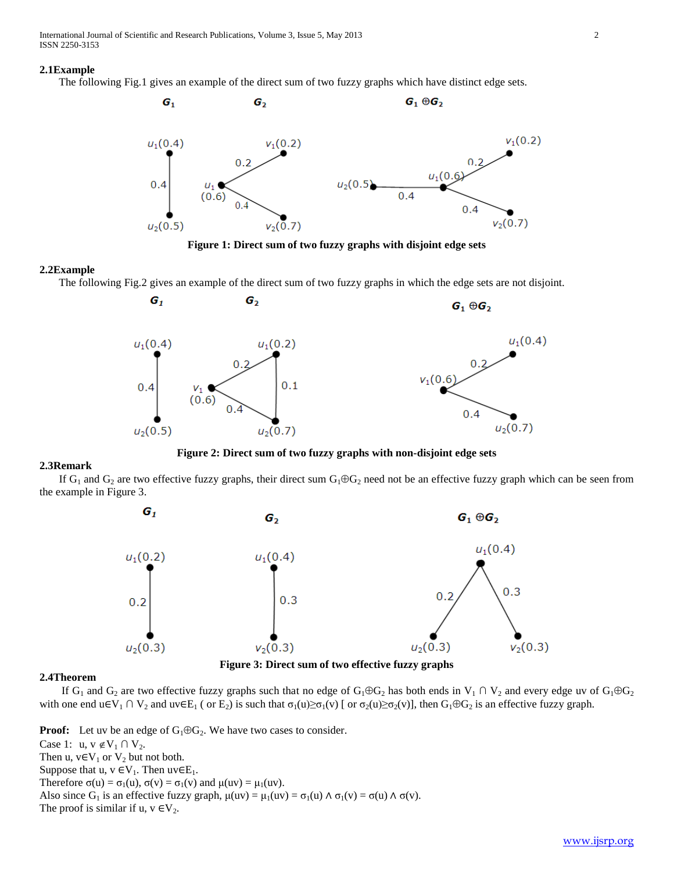International Journal of Scientific and Research Publications, Volume 3, Issue 5, May 2013 2 ISSN 2250-3153

#### **2.1Example**

The following Fig.1 gives an example of the direct sum of two fuzzy graphs which have distinct edge sets.



**Figure 1: Direct sum of two fuzzy graphs with disjoint edge sets**

#### **2.2Example**

The following Fig.2 gives an example of the direct sum of two fuzzy graphs in which the edge sets are not disjoint.



**Figure 2: Direct sum of two fuzzy graphs with non-disjoint edge sets**

### **2.3Remark**

If  $G_1$  and  $G_2$  are two effective fuzzy graphs, their direct sum  $G_1 \oplus G_2$  need not be an effective fuzzy graph which can be seen from the example in Figure 3.



**Figure 3: Direct sum of two effective fuzzy graphs**

## **2.4Theorem**

If G<sub>1</sub> and G<sub>2</sub> are two effective fuzzy graphs such that no edge of G<sub>1</sub> $\oplus$ G<sub>2</sub> has both ends in V<sub>1</sub> ∩ V<sub>2</sub> and every edge uv of G<sub>1</sub> $\oplus$ G<sub>2</sub> with one end u∈V<sub>1</sub> ∩ V<sub>2</sub> and uv∈E<sub>1</sub> ( or E<sub>2</sub>) is such that  $\sigma_1(u) \ge \sigma_1(v)$  [ or  $\sigma_2(u) \ge \sigma_2(v)$ ], then  $G_1 \oplus G_2$  is an effective fuzzy graph.

**Proof:** Let uv be an edge of  $G_1 \oplus G_2$ . We have two cases to consider. Case 1: u,  $v \notin V_1 \cap V_2$ . Then u,  $v \in V_1$  or  $V_2$  but not both. Suppose that u,  $v \in V_1$ . Then uv∈E<sub>1</sub>. Therefore  $\sigma(u) = \sigma_1(u)$ ,  $\sigma(v) = \sigma_1(v)$  and  $\mu(uv) = \mu_1(uv)$ . Also since G<sub>1</sub> is an effective fuzzy graph,  $\mu(uv) = \mu_1(uv) = \sigma_1(u) \wedge \sigma_1(v) = \sigma(u) \wedge \sigma(v)$ . The proof is similar if u,  $v \in V_2$ .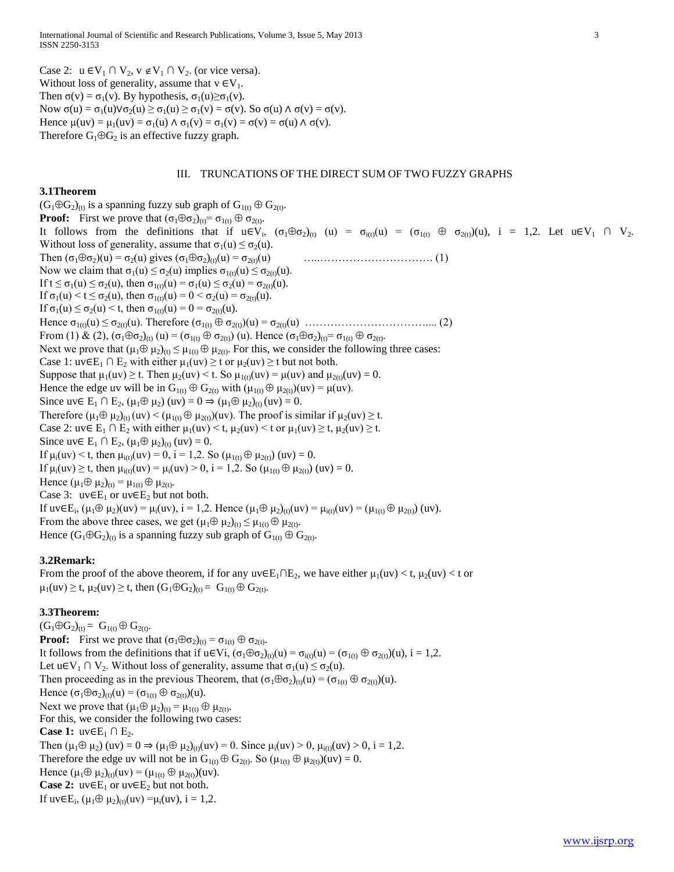Case 2: u ∈V<sub>1</sub> ∩ V<sub>2</sub>, v ∉V<sub>1</sub> ∩ V<sub>2</sub>. (or vice versa). Without loss of generality, assume that  $v \in V_1$ . Then  $\sigma(v) = \sigma_1(v)$ . By hypothesis,  $\sigma_1(u) \ge \sigma_1(v)$ . Now  $\sigma(u) = \sigma_1(u) \lor \sigma_2(u) \ge \sigma_1(u) \ge \sigma_1(v) = \sigma(v)$ . So  $\sigma(u) \land \sigma(v) = \sigma(v)$ . Hence  $\mu(uv) = \mu_1(uv) = \sigma_1(u) \wedge \sigma_1(v) = \sigma_1(v) = \sigma(v) = \sigma(u) \wedge \sigma(v)$ . Therefore  $G_1 \oplus G_2$  is an effective fuzzy graph.

## III. TRUNCATIONS OF THE DIRECT SUM OF TWO FUZZY GRAPHS

### **3.1Theorem**

 $(G_1 \oplus G_2)_{(t)}$  is a spanning fuzzy sub graph of  $G_{1(t)} \oplus G_{2(t)}$ . **Proof:** First we prove that  $(\sigma_1 \oplus \sigma_2)_{(t)} = \sigma_1(t) \oplus \sigma_2(t)$ . It follows from the definitions that if  $u \in V_i$ ,  $(\sigma_1 \oplus \sigma_2)_{(t)}$   $(u) = \sigma_{i(t)}(u) = (\sigma_{1(t)} \oplus \sigma_{2(t)})(u)$ ,  $i = 1,2$ . Let  $u \in V_1 \cap V_2$ . Without loss of generality, assume that  $\sigma_1(u) \leq \sigma_2(u)$ . Then (σ1σ2)(u) = σ2(u) gives (σ1σ2)(t)(u) = σ2(t)(u) …..…………………………. (1) Now we claim that  $\sigma_1(u) \leq \sigma_2(u)$  implies  $\sigma_{1(t)}(u) \leq \sigma_{2(t)}(u)$ . If  $t \le \sigma_1(u) \le \sigma_2(u)$ , then  $\sigma_1(t)(u) = \sigma_1(u) \le \sigma_2(u) = \sigma_2(t)(u)$ . If  $\sigma_1(u) < t \leq \sigma_2(u)$ , then  $\sigma_1(t)(u) = 0 < \sigma_2(u) = \sigma_2(t)(u)$ . If  $\sigma_1(u) \leq \sigma_2(u) < t$ , then  $\sigma_{1(t)}(u) = 0 = \sigma_{2(t)}(u)$ . Hence σ1(t)(u) ≤ σ2(t)(u). Therefore (σ1(t) σ2(t))(u) = σ2(t)(u) …………………………….... (2) From (1) & (2),  $(\sigma_1 \oplus \sigma_2)_{(t)}(u) = (\sigma_{1(t)} \oplus \sigma_{2(t)}) (u)$ . Hence  $(\sigma_1 \oplus \sigma_2)_{(t)} = \sigma_{1(t)} \oplus \sigma_{2(t)}$ . Next we prove that  $(\mu_1 \oplus \mu_2)_{(t)} \leq \mu_1_{(t)} \oplus \mu_2_{(t)}$ . For this, we consider the following three cases: Case 1: uv∈E<sub>1</sub> ∩ E<sub>2</sub> with either  $\mu_1(uv) \ge t$  or  $\mu_2(uv) \ge t$  but not both. Suppose that  $\mu_1(uv) \ge t$ . Then  $\mu_2(uv) \le t$ . So  $\mu_{1(t)}(uv) = \mu(uv)$  and  $\mu_{2(t)}(uv) = 0$ . Hence the edge uv will be in  $G_{1(t)} \oplus G_{2(t)}$  with  $(\mu_{1(t)} \oplus \mu_{2(t)})(uv) = \mu(uv)$ . Since uv∈ E<sub>1</sub> ∩ E<sub>2</sub>, ( $\mu_1 \oplus \mu_2$ ) (uv) = 0  $\Rightarrow$  ( $\mu_1 \oplus \mu_2$ )<sub>(t)</sub> (uv) = 0. Therefore  $(\mu_1 \oplus \mu_2)_{(t)}(uv) < (\mu_{1(t)} \oplus \mu_{2(t)})(uv)$ . The proof is similar if  $\mu_2(uv) \ge t$ . Case 2: uv∈ E<sub>1</sub> ∩ E<sub>2</sub> with either  $\mu_1(uv) < t$ ,  $\mu_2(uv) < t$  or  $\mu_1(uv) \ge t$ ,  $\mu_2(uv) \ge t$ . Since uv∈ E<sub>1</sub> ∩ E<sub>2</sub>, ( $\mu_1 \oplus \mu_2$ )<sub>(t)</sub> (uv) = 0. If  $\mu_i(uv) < t$ , then  $\mu_{i(t)}(uv) = 0$ , i = 1,2. So  $(\mu_{1(t)} \oplus \mu_{2(t)})$  (uv) = 0. If  $\mu_i(uv) \ge t$ , then  $\mu_{i(t)}(uv) = \mu_i(uv) > 0$ , i = 1,2. So  $(\mu_{1(t)} \oplus \mu_{2(t)})$  (uv) = 0. Hence  $(\mu_1 \oplus \mu_2)_{(t)} = \mu_{1(t)} \oplus \mu_{2(t)}$ . Case 3:  $uv \in E_1$  or  $uv \in E_2$  but not both. If uv∈E<sub>i</sub>, (μ<sub>1</sub>⊕ μ<sub>2</sub>)(uv) = μ<sub>i</sub>(uv), i = 1,2. Hence (μ<sub>1</sub>⊕ μ<sub>2</sub>)<sub>(t)</sub>(uv) = μ<sub>i(t)</sub>(uv) = (μ<sub>1(t)</sub> ⊕ μ<sub>2(t)</sub>) (uv). From the above three cases, we get  $(\mu_1 \oplus \mu_2)_{(t)} \leq \mu_{1(t)} \oplus \mu_{2(t)}$ . Hence  $(G_1 \oplus G_2)_{(t)}$  is a spanning fuzzy sub graph of  $G_{1(t)} \oplus G_{2(t)}$ .

### **3.2Remark:**

From the proof of the above theorem, if for any  $uv \in E_1 \cap E_2$ , we have either  $\mu_1(uv) < t$ ,  $\mu_2(uv) < t$  or  $\mu_1(uv) \ge t$ ,  $\mu_2(uv) \ge t$ , then  $(G_1 \oplus G_2)_{(t)} = G_{1(t)} \oplus G_{2(t)}$ .

## **3.3Theorem:**

 $(G_1 \oplus G_2)_{(t)} = G_{1(t)} \oplus G_{2(t)}$ **Proof:** First we prove that  $(\sigma_1 \oplus \sigma_2)_{(t)} = \sigma_{1(t)} \oplus \sigma_{2(t)}$ . It follows from the definitions that if  $u \in V$ i,  $(\sigma_1 \oplus \sigma_2)_{(t)}(u) = \sigma_{i(t)}(u) = (\sigma_{1(t)} \oplus \sigma_{2(t)})(u)$ , i = 1,2. Let u $\in V_1 \cap V_2$ . Without loss of generality, assume that  $\sigma_1(u) \leq \sigma_2(u)$ . Then proceeding as in the previous Theorem, that  $(\sigma_1 \oplus \sigma_2)_{(i)}(u) = (\sigma_{1(i)} \oplus \sigma_{2(i)})(u)$ . Hence  $(\sigma_1 \oplus \sigma_2)_{(t)}(u) = (\sigma_{1(t)} \oplus \sigma_{2(t)})(u)$ . Next we prove that  $(\mu_1 \oplus \mu_2)_{(t)} = \mu_1(t) \oplus \mu_2(t)$ . For this, we consider the following two cases: **Case 1:**  $uv \in E_1 \cap E_2$ . Then  $(\mu_1 \oplus \mu_2)$  (uv) =  $0 \Rightarrow (\mu_1 \oplus \mu_2)_{(t)}(uv) = 0$ . Since  $\mu_i(uv) > 0$ ,  $\mu_{i(t)}(uv) > 0$ , i = 1,2. Therefore the edge uv will not be in  $G_{1(t)} \oplus G_{2(t)}$ . So  $(\mu_{1(t)} \oplus \mu_{2(t)})(uv) = 0$ . Hence  $(\mu_1 \oplus \mu_2)_{(t)}(uv) = (\mu_1)_{(t)} \oplus \mu_2)_{(t)}(uv)$ . **Case 2:**  $uv \in E_1$  or  $uv \in E_2$  but not both. If  $uv \in E_i$ ,  $(\mu_1 \oplus \mu_2)_{(t)}(uv) = \mu_i(uv)$ ,  $i = 1,2$ .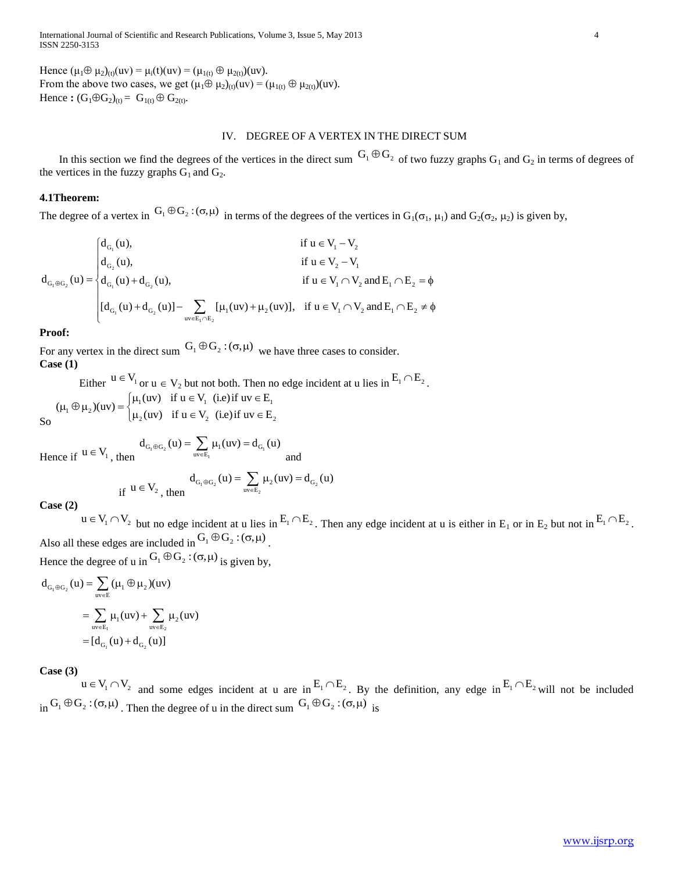International Journal of Scientific and Research Publications, Volume 3, Issue 5, May 2013 4 ISSN 2250-3153

Hence  $(\mu_1 \oplus \mu_2)_{(t)}(uv) = \mu_i(t)(uv) = (\mu_{1(t)} \oplus \mu_{2(t)})(uv)$ . From the above two cases, we get  $(\mu_1 \oplus \mu_2)_{(t)}(uv) = (\mu_{1(t)} \oplus \mu_{2(t)})(uv)$ . Hence :  $(G_1 \oplus G_2)_{(t)} = G_{1(t)} \oplus G_{2(t)}$ .

## IV. DEGREE OF A VERTEX IN THE DIRECT SUM

In this section we find the degrees of the vertices in the direct sum  $G_1 \oplus G_2$  of two fuzzy graphs  $G_1$  and  $G_2$  in terms of degrees of the vertices in the fuzzy graphs  $G_1$  and  $G_2$ .

## **4.1Theorem:**

The degree of a vertex in 
$$
G_1 \oplus G_2 : (\sigma, \mu)
$$
 in terms of the degrees of the vertices in  $G_1(\sigma_1, \mu_1)$  and  $G_2(\sigma_2, \mu_2)$  is given by,  
\n
$$
d_{G_1}(\mu) = \begin{cases}\nd_{G_1}(\mu), & \text{if } \mu \in V_1 - V_2 \\
d_{G_2}(\mu), & \text{if } \mu \in V_2 - V_1 \\
d_{G_1}(\mu) + d_{G_2}(\mu), & \text{if } \mu \in V_1 \cap V_2 \text{ and } E_1 \cap E_2 = \emptyset \\
[d_{G_1}(\mu) + d_{G_2}(\mu)] - \sum_{uv \in E_1 \cap E_2} [\mu_1(uv) + \mu_2(uv)], & \text{if } \mu \in V_1 \cap V_2 \text{ and } E_1 \cap E_2 \neq \emptyset\n\end{cases}
$$

## **Proof:**

So

For any vertex in the direct sum  $G_1 \oplus G_2 : (\sigma, \mu)$  we have three cases to consider. **Case (1)**

Either  $u \in V_1$  or  $u \in V_2$  but not both. Then no edge incident at u lies in  $E_1 \cap E_2$ .  $\mathbf{u}_1 \oplus \mathbf{\mu}_2$  $(uv) = \begin{cases} \mu_1(uv) & \text{if } u \in V_1 \\ \mu_2(uv) & \text{if } u \in V_2 \end{cases}$  (i.e) if  $uv \in E_2$ Either  $u \in V_1$  or  $u \in V_2$  but not both. Then n<br>  $(\mu_1 \oplus \mu_2)(uv) = \begin{cases} \mu_1(uv) & \text{if } u \in V_1 \text{ (i.e) if } uv \in E_1 \\ \mu_2(uv) & \text{if } u \in V_2 \text{ (i.e) if } uv \in E_2 \end{cases}$ Either  $u \in V_1$  or  $u \in V_2$  but not both. Then no est<br>  $\mu_1 \oplus \mu_2$  (uv) =  $\begin{cases} \mu_1(uv) & \text{if } u \in V_1 \\ \mu_2(uv) & \text{if } u \in V_2 \end{cases}$  (i.e) if  $uv \in E_1$ 

Hence if 
$$
u \in V_1
$$
, then  $d_{G_1 \oplus G_2}(u) = \sum_{uv \in E_1} \mu_1(uv) = d_{G_1}(u)$  and

if  $u \in V_2$ , then  $d_{G_1 \oplus G_2}(u) = \sum_{uv \in E_2} \mu_2(uv) = d_{G_2}(u)$ 

**Case (2)**

 $u \in V_1 \cap V_2$  but no edge incident at u lies in  $E_1 \cap E_2$ . Then any edge incident at u is either in  $E_1$  or in  $E_2$  but not in  $E_1 \cap E_2$ . Also all these edges are included in  $G_1 \oplus G_2$ :  $(\sigma, \mu)$ .

Hence the degree of u in  $G_1 \oplus G_2$ :  $(\sigma, \mu)$  is given by,

$$
d_{G_1 \oplus G_2}(u) = \sum_{uv \in E_1} (\mu_1 \oplus \mu_2)(uv)
$$
  
= 
$$
\sum_{uv \in E_1} \mu_1(uv) + \sum_{uv \in E_2} \mu_2(uv)
$$
  
= 
$$
[d_{G_1}(u) + d_{G_2}(u)]
$$

**Case (3)**

 $u \in V_1 \cap V_2$  and some edges incident at u are in  $E_1 \cap E_2$ . By the definition, any edge in  $E_1 \cap E_2$  will not be included  $\sin G_1 \oplus G_2$ :  $(\sigma, \mu)$ . Then the degree of u in the direct sum  $G_1 \oplus G_2$ :  $(\sigma, \mu)$  is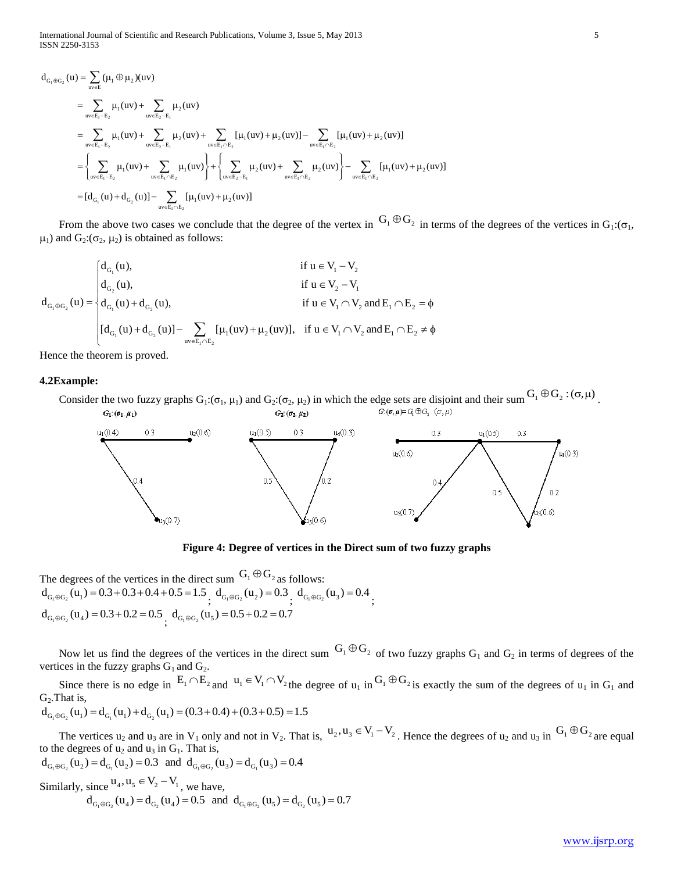International Journal of Scientific and Research Publications, Volume 3, Issue 5, May 2013 5 ISSN 2250-3153

\n The fractional Journal of Scientific and Research Publications, Volume 3, Issue 5, May 2013\n 
$$
\text{d}_{G_1 \oplus G_2}(u) = \sum_{uv \in E_1 - E_2} (\mu_1 \oplus \mu_2)(uv)
$$
\n
$$
= \sum_{uv \in E_1 - E_2} \mu_1(uv) + \sum_{uv \in E_2 - E_1} \mu_2(uv)
$$
\n
$$
= \sum_{uv \in E_1 - E_2} \mu_1(uv) + \sum_{uv \in E_2 - E_1} \mu_2(uv) + \sum_{uv \in E_1 \cap E_2} [\mu_1(uv) + \mu_2(uv)] - \sum_{uv \in E_1 \cap E_2} [\mu_1(uv) + \mu_2(uv)]
$$
\n
$$
= \left\{ \sum_{uv \in E_1 - E_2} \mu_1(uv) + \sum_{uv \in E_1 \cap E_2} \mu_1(uv) \right\} + \left\{ \sum_{uv \in E_2 - E_1} \mu_2(uv) + \sum_{uv \in E_1 \cap E_2} \mu_2(uv) \right\} - \sum_{uv \in E_1 \cap E_2} [\mu_1(uv) + \mu_2(uv)]
$$
\n
$$
= [d_{G_1}(u) + d_{G_2}(u)] - \sum_{uv \in E_1 \cap E_2} [\mu_1(uv) + \mu_2(uv)]
$$
\n

From the above two cases we conclude that the degree of the vertex in  $G_1 \oplus G_2$  in terms of the degrees of the vertices in  $G_1:(\sigma_1, \mu_1)$  and  $G_2:(\sigma_2, \mu_2)$  is obtained as follows:<br>  $\begin{cases} d_{G_1}(u), & \text{if } u \in V_1 - V_2 \end{$ From the above two cases we conclude that the degree of the verte<br>  $\mu_1$ ) and  $G_2: (\sigma_2, \mu_2)$  is obtained as follows:<br>  $\begin{cases} d_{G_1}(u), & \text{if } u \in V_1 - V_2 \end{cases}$ 

$$
d_{G_1 \oplus G_2}(u) = \begin{cases} d_{G_1}(u), & \text{if } u \in V_1 - V_2 \\ d_{G_2}(u), & \text{if } u \in V_2 - V_1 \\ d_{G_1}(u) + d_{G_2}(u), & \text{if } u \in V_1 \cap V_2 \text{ and } E_1 \cap E_2 = \emptyset \\ [d_{G_1}(u) + d_{G_2}(u)] - \sum_{uv \in E_1 \cap E_2} [\mu_1(uv) + \mu_2(uv)], & \text{if } u \in V_1 \cap V_2 \text{ and } E_1 \cap E_2 \neq \emptyset \end{cases}
$$

Hence the theorem is proved.

## **4.2Example:**

Consider the two fuzzy graphs  $G_1: (\sigma_1, \mu_1)$  and  $G_2: (\sigma_2, \mu_2)$  in which the edge sets are disjoint and their sum  $G_1 \oplus G_2: (\sigma, \mu)$ .  $G_1(\sigma_1,\mu_1)$  $G_2(\sigma_2, \mu_2)$ 



**Figure 4: Degree of vertices in the Direct sum of two fuzzy graphs**

The degrees of the vertices in the direct sum  $G_1 \oplus G_2$  as follows: The degrees of the vertices in the direct sum  $G_1 \otimes G_2$  as follows:<br>  $d_{G_1 \oplus G_2}(u_1) = 0.3 + 0.3 + 0.4 + 0.5 = 1.5$ ,  $d_{G_1 \oplus G_2}(u_2) = 0.3$ ,  $d_{G_1 \oplus G_2}(u_3) = 0.4$ ,  $d_{G_1 \oplus G_2}(u_4) = 0.3 + 0.2 = 0.5 \begin{cases} 0.5 \\ 0.4 + 0.2 = 0.7 \end{cases}$ 

Now let us find the degrees of the vertices in the direct sum  $G_1 \oplus G_2$  of two fuzzy graphs  $G_1$  and  $G_2$  in terms of degrees of the vertices in the fuzzy graphs  $G_1$  and  $G_2$ .

Since there is no edge in  $E_1 \cap E_2$  and  $u_1 \in V_1 \cap V_2$  the degree of  $u_1$  in  $G_1 \oplus G_2$  is exactly the sum of the degrees of  $u_1$  in  $G_1$  and  $G_2$ . That is,<br> $d_{G_1 \oplus G_2}(u_1) = d_{G_1}(u_1) + d_{G_2}(u_1) = (0.3 + 0.4) + (0.3 +$  $G<sub>2</sub>$ . That is,

$$
d_{G_1 \oplus G_2}(u_1) = d_{G_1}(u_1) + d_{G_2}(u_1) = (0.3 + 0.4) + (0.3 + 0.5) = 1.5
$$

The vertices  $u_2$  and  $u_3$  are in  $V_1$  only and not in  $V_2$ . That is,  $u_2, u_3 \in V_1 - V_2$ . Hence the degrees of  $u_2$  and  $u_3$  in  $G_1 \oplus G_2$  are equal to the degrees of  $u_2$  and  $u_3$  in  $G_1$ . That is,  $d_{G_1 \oplus G_2$ The vertices  $u_2$  and  $u_3$  are in  $V_1$  only and not in  $V_2$ . That is,<br>to the degrees of  $u_2$  and  $u_3$  in  $G_1$ . That is,<br> $d_{G_1 \oplus G_2}(u_2) = d_{G_1}(u_2) = 0.3$  and  $d_{G_1 \oplus G_2}(u_3) = d_{G_1}(u_3) = 0.4$ 

$$
d_{G_1 \oplus G_2}(u_2) = d_{G_1}(u_2) = 0.3 \text{ and } d_{G_1 \oplus G_2}(u_3) = d_{G_1}(u_3) = 0.4
$$
  
Similarly, since  $u_4, u_5 \in V_2 - V_1$ , we have,  

$$
d_{G_1 \oplus G_2}(u_4) = d_{G_2}(u_4) = 0.5 \text{ and } d_{G_1 \oplus G_2}(u_5) = d_{G_2}(u_5) = 0.7
$$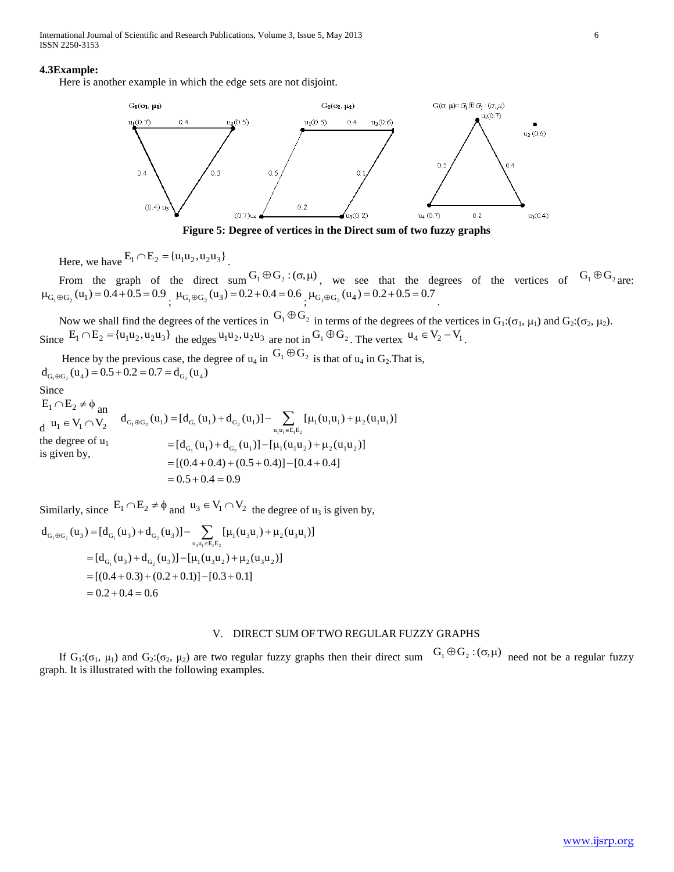International Journal of Scientific and Research Publications, Volume 3, Issue 5, May 2013 6 ISSN 2250-3153

#### **4.3Example:**

Here is another example in which the edge sets are not disjoint.



**Figure 5: Degree of vertices in the Direct sum of two fuzzy graphs**

Here, we have  $E_1 \cap E_2 = {u_1 u_2, u_2 u_3}$ .

From the graph of the direct sum  $G_1 \oplus G_2$ :  $(\sigma, \mu)$ , we see that the degrees of the vertices of  $G_1 \oplus G_2$  are:  $\mu_{G_1 \oplus G_2}(u_1) = 0.4 + 0.5 = 0.9$ ,  $\mu_{G_1 \oplus G_2}(u_3) = 0.2 + 0.4 = 0.6$ ,  $\mu_{G_1 \oplus G_2}(u_4) = 0.2 + 0.5 = 0.7$ .

Now we shall find the degrees of the vertices in  $G_1 \oplus G_2$  in terms of the degrees of the vertices in  $G_1: (\sigma_1, \mu_1)$  and  $G_2: (\sigma_2, \mu_2)$ . Since  $E_1 \cap E_2 = {u_1u_2, u_2u_3}$  the edges  $u_1u_2, u_2u_3$  are not in  $G_1 \oplus G_2$ . The vertex  $u_4 \in V_2 - V_1$ .

Hence by the previous case, the degree of  $u_4$  in  $G_1 \oplus G_2$  is that of  $u_4$  in  $G_2$ . That is, Hence by the previous case, the d<br>  $d_{G_1 \oplus G_2}(u_4) = 0.5 + 0.2 = 0.7 = d_{G_2}(u_4)$ 

Since

 $E_1 \cap E_2 \neq \phi$  and Since<br>  $E_1 \cap E_2 \neq \emptyset$  an<br>  $d u_1 \in V_1 \cap V_2$   $d_{G_1 \oplus G_2}(u_1) = [d_{G_1}(u_1) + d_{G_2}(u_1)] - \sum_{u_1 u_1 \in E_1 E_2} [\mu_1(u_1 u_1) + \mu_2(u_1 u_1)]$ the degree of  $u_1$ is given by, =  $[d_{G_1}(u_1) + d_{G_2}(u_1)] - [\mu_1(u_1u_2) + \mu_2(u_1u_2)]$ <br>=  $[(0.4 + 0.4) + (0.5 + 0.4)] - [0.4 + 0.4]$  ${}_{\oplus G_2}(u_1) = [d_{G_1}(u_1) + d_{G_2}(u_1)] - \sum_{u_1u_1 \in E_1E_2} [\mu_1(u_1u_1) + \mu_2(u_1u_1)]$ <br>=  $[d_{G_1}(u_1) + d_{G_2}(u_1)] - [\mu_1(u_1u_2) + \mu_2(u_1u_2)]$  $= [(0.4 + 0.4) + (0.5 - 0.5 + 0.4)$ =  $[d_{G_1}(u_1) + d_{G_2}(u_1)] - \sum_{u_1u_1 \in E_1E_2} [\mu_1(u_1u_1) + \mu$ <br>=  $[d_{G_1}(u_1) + d_{G_2}(u_1)] - [\mu_1(u_1u_2) + \mu_2(u_1u_2)]$ 

Similarly, since 
$$
E_1 \cap E_2 \neq \phi
$$
 and  $u_3 \in V_1 \cap V_2$  the degree of  $u_3$  is given by,  
\n
$$
d_{G_1 \oplus G_2}(u_3) = [d_{G_1}(u_3) + d_{G_2}(u_3)] - \sum_{u_3 u_i \in E_1 E_2} [\mu_1(u_3 u_i) + \mu_2(u_3 u_i)]
$$
\n
$$
= [d_{G_1}(u_3) + d_{G_2}(u_3)] - [\mu_1(u_3 u_2) + \mu_2(u_3 u_2)]
$$
\n
$$
= [(0.4 + 0.3) + (0.2 + 0.1)] - [0.3 + 0.1]
$$
\n
$$
= 0.2 + 0.4 = 0.6
$$

## V. DIRECT SUM OF TWO REGULAR FUZZY GRAPHS

If  $G_1: (\sigma_1, \mu_1)$  and  $G_2: (\sigma_2, \mu_2)$  are two regular fuzzy graphs then their direct sum  $G_1 \oplus G_2: (\sigma, \mu)$  need not be a regular fuzzy graph. It is illustrated with the following examples.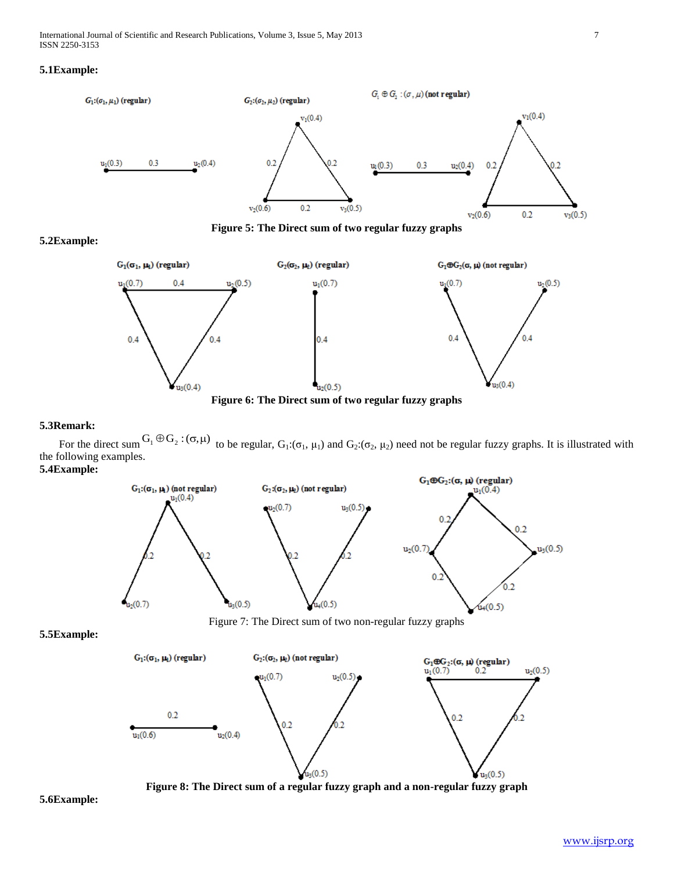

**Figure 5: The Direct sum of two regular fuzzy graphs**

# **5.2Example:**



## **5.3Remark:**

For the direct sum  $G_1 \oplus G_2$ :  $(\sigma, \mu)$  to be regular,  $G_1: (\sigma_1, \mu_1)$  and  $G_2: (\sigma_2, \mu_2)$  need not be regular fuzzy graphs. It is illustrated with the following examples. **5.4Example:**





## **5.5Example:**



**Figure 8: The Direct sum of a regular fuzzy graph and a non-regular fuzzy graph**

**5.6Example:**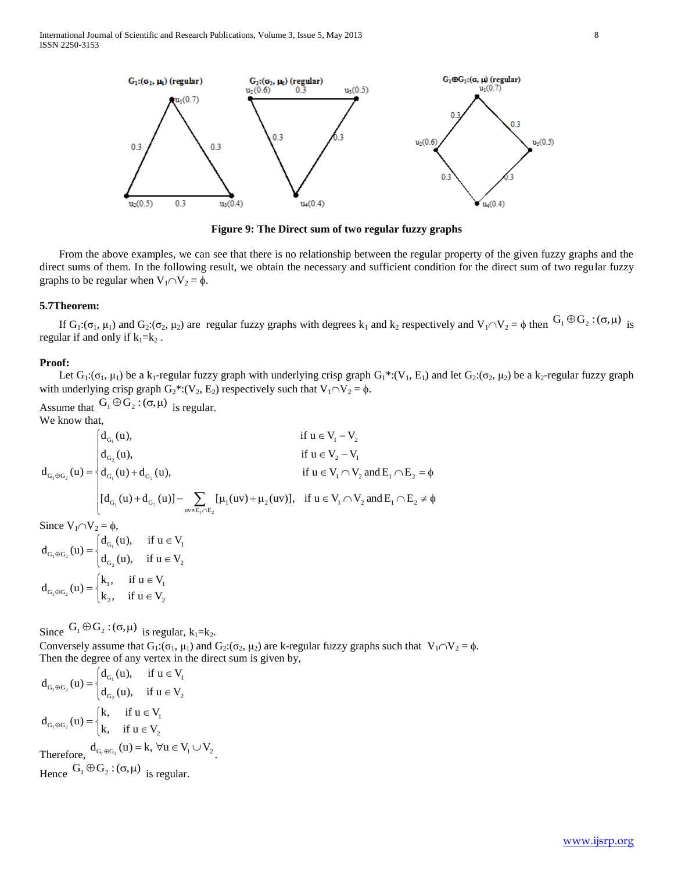International Journal of Scientific and Research Publications, Volume 3, Issue 5, May 2013 8 ISSN 2250-3153



**Figure 9: The Direct sum of two regular fuzzy graphs**

 From the above examples, we can see that there is no relationship between the regular property of the given fuzzy graphs and the direct sums of them. In the following result, we obtain the necessary and sufficient condition for the direct sum of two regular fuzzy graphs to be regular when  $V_1 \cap V_2 = \phi$ .

#### **5.7Theorem:**

If  $G_1: (\sigma_1, \mu_1)$  and  $G_2: (\sigma_2, \mu_2)$  are regular fuzzy graphs with degrees  $k_1$  and  $k_2$  respectively and  $V_1 \cap V_2 = \phi$  then  $G_1 \oplus G_2: (\sigma, \mu)$  is regular if and only if  $k_1=k_2$ .

#### **Proof:**

Let  $G_1: (\sigma_1, \mu_1)$  be a k<sub>1</sub>-regular fuzzy graph with underlying crisp graph  $G_1^*: (V_1, E_1)$  and let  $G_2: (\sigma_2, \mu_2)$  be a k<sub>2</sub>-regular fuzzy graph with underlying crisp graph  $G_2^*: (V_2, E_2)$  respectively such that  $V_1 \cap V_2 = \phi$ .

We know that,

Assume that 
$$
G_1 \oplus G_2 : (\sigma, \mu)
$$
 is regular.  
\nWe know that,  
\n
$$
d_{G_1} (u), \qquad \text{if } u \in V_1 \cap V_2
$$
\n
$$
d_{G_1 \oplus G_2} (u) = \begin{cases} d_{G_1} (u), & \text{if } u \in V_1 \cap V_2 \\ d_{G_2} (u), & \text{if } u \in V_2 \cap V_1 \\ d_{G_1} (u) + d_{G_2} (u), & \text{if } u \in V_1 \cap V_2 \text{ and } E_1 \cap E_2 = \emptyset \\ [d_{G_1} (u) + d_{G_2} (u)] - \sum_{uv \in E_1 \cap E_2} [\mu_1 (uv) + \mu_2 (uv)], & \text{if } u \in V_1 \cap V_2 \text{ and } E_1 \cap E_2 \neq \emptyset \end{cases}
$$
\nSince  $V_1 \cap V_2 = \emptyset$ ,  
\n
$$
d_{G_1 \oplus G_2} (u) = \begin{cases} d_{G_1} (u), & \text{if } u \in V_1 \\ d_{G_2} (u), & \text{if } u \in V_2 \end{cases}
$$

$$
d_{G_1 \oplus G_2}(u) = \begin{cases} k_1, & \text{if } u \in V_1 \\ k_2, & \text{if } u \in V_2 \end{cases}
$$

Since  $G_1 \oplus G_2$ :  $(\sigma, \mu)$  is regular,  $k_1 = k_2$ .

Conversely assume that  $G_1: (\sigma_1, \mu_1)$  and  $G_2: (\sigma_2, \mu_2)$  are k-regular fuzzy graphs such that  $V_1 \cap V_2 = \phi$ . Then the degree of any vertex in the direct sum is given by,<br>  $\begin{cases} d_{G_1}(u), & \text{if } u \in V_1 \end{cases}$ 

$$
d_{G_1 \oplus G_2}(u) = \begin{cases} d_{G_1}(u), & \text{if } u \in V_1 \\ d_{G_2}(u), & \text{if } u \in V_2 \end{cases}
$$

$$
d_{G_1 \oplus G_2}(u) = \begin{cases} k, & \text{if } u \in V_1 \\ k, & \text{if } u \in V_2 \end{cases}
$$

Therefore,  $d_{G_1 \oplus G_2}(u) = k$ ,  $\forall u \in V_1 \cup V_2$ . Hence  $G_1 \oplus G_2 : (\sigma, \mu)$  is regular.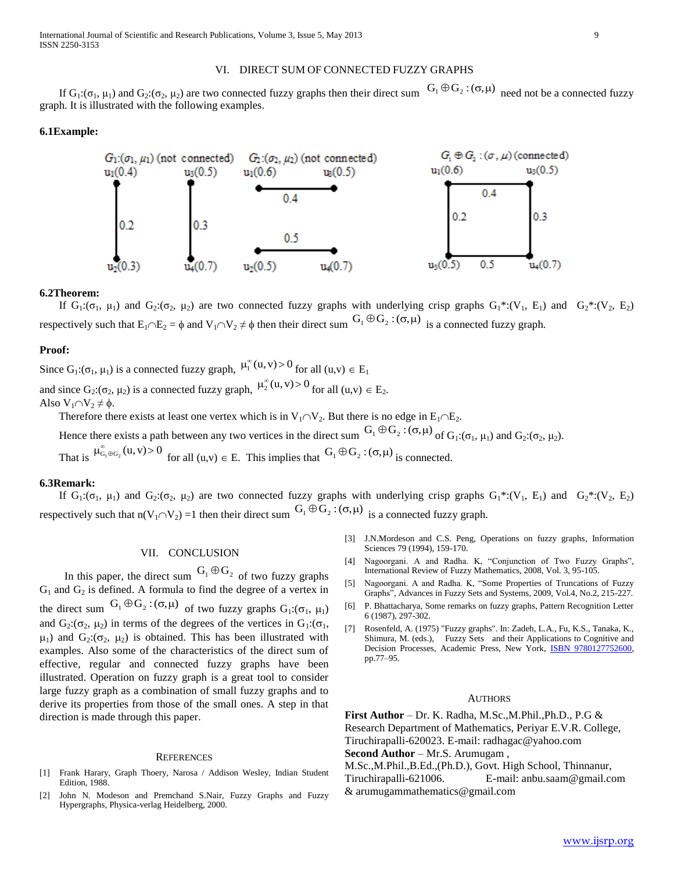## VI. DIRECT SUM OF CONNECTED FUZZY GRAPHS

If  $G_1: (\sigma_1, \mu_1)$  and  $G_2: (\sigma_2, \mu_2)$  are two connected fuzzy graphs then their direct sum  $G_1 \oplus G_2: (\sigma, \mu)$  need not be a connected fuzzy graph. It is illustrated with the following examples.

## **6.1Example:**



#### **6.2Theorem:**

If  $G_1: (\sigma_1, \mu_1)$  and  $G_2: (\sigma_2, \mu_2)$  are two connected fuzzy graphs with underlying crisp graphs  $G_1^*: (V_1, E_1)$  and  $G_2^*: (V_2, E_2)$ respectively such that  $E_1 \cap E_2 = \phi$  and  $V_1 \cap V_2 \neq \phi$  then their direct sum  $G_1 \oplus G_2 : (\sigma, \mu)$  is a connected fuzzy graph.

#### **Proof:**

Since  $G_1: (\sigma_1, \mu_1)$  is a connected fuzzy graph,  $\mu_1^{\infty}(u, v) > 0$  for all  $(u, v) \in E_1$ and since  $G_2$ : $(\sigma_2, \mu_2)$  is a connected fuzzy graph,  $\mu_2^{\infty}(u, v) > 0$  for all  $(u, v) \in E_2$ . Also  $V_1 \cap V_2 \neq \emptyset$ .

Therefore there exists at least one vertex which is in  $V_1 \cap V_2$ . But there is no edge in  $E_1 \cap E_2$ .

Hence there exists a path between any two vertices in the direct sum  $G_1 \oplus G_2$ :  $(\sigma, \mu)$  of  $G_1: (\sigma_1, \mu_1)$  and  $G_2: (\sigma_2, \mu_2)$ .

That is  $\mu_{G_1 \oplus G_2}^{\infty}(u, v) > 0$  for all  $(u, v) \in E$ . This implies that  $G_1 \oplus G_2 : (\sigma, \mu)$  is connected.

### **6.3Remark:**

If  $G_1: (\sigma_1, \mu_1)$  and  $G_2: (\sigma_2, \mu_2)$  are two connected fuzzy graphs with underlying crisp graphs  $G_1^*: (V_1, E_1)$  and  $G_2^*: (V_2, E_2)$ respectively such that  $n(V_1 \cap V_2) = 1$  then their direct sum  $G_1 \oplus G_2 : (\sigma, \mu)$  is a connected fuzzy graph.

## VII. CONCLUSION

In this paper, the direct sum  $G_1 \oplus G_2$  of two fuzzy graphs  $G_1$  and  $G_2$  is defined. A formula to find the degree of a vertex in the direct sum  $G_1 \oplus G_2$ :  $(\sigma, \mu)$  of two fuzzy graphs  $G_1$ :  $(\sigma_1, \mu_1)$ and  $G_2: (\sigma_2, \mu_2)$  in terms of the degrees of the vertices in  $G_1: (\sigma_1, \sigma_2)$  $\mu_1$ ) and  $G_2$ :( $\sigma_2$ ,  $\mu_2$ ) is obtained. This has been illustrated with examples. Also some of the characteristics of the direct sum of effective, regular and connected fuzzy graphs have been illustrated. Operation on fuzzy graph is a great tool to consider large fuzzy graph as a combination of small fuzzy graphs and to derive its properties from those of the small ones. A step in that direction is made through this paper.

#### **REFERENCES**

- [1] Frank Harary, Graph Thoery, Narosa / Addison Wesley, Indian Student Edition, 1988.
- [2] John N. Modeson and Premchand S.Nair, Fuzzy Graphs and Fuzzy Hypergraphs, Physica-verlag Heidelberg, 2000.
- [3] J.N.Mordeson and C.S. Peng, Operations on fuzzy graphs, Information Sciences 79 (1994), 159-170.
- [4] Nagoorgani. A and Radha. K, "Conjunction of Two Fuzzy Graphs", International Review of Fuzzy Mathematics, 2008, Vol. 3, 95-105.
- [5] Nagoorgani. A and Radha. K, "Some Properties of Truncations of Fuzzy Graphs", Advances in Fuzzy Sets and Systems, 2009, Vol.4, No.2, 215-227.
- [6] P. Bhattacharya, Some remarks on fuzzy graphs, Pattern Recognition Letter 6 (1987), 297-302.
- [7] Rosenfeld, A. (1975) "Fuzzy graphs". In: Zadeh, L.A., Fu, K.S., Tanaka, K., Shimura, M. (eds.), Fuzzy Sets and their Applications to Cognitive and Decision Processes, Academic Press, New York, **ISBN 9780127752600**, pp.77–95.

#### **AUTHORS**

**First Author** – Dr. K. Radha, M.Sc.,M.Phil.,Ph.D., P.G & Research Department of Mathematics, Periyar E.V.R. College, Tiruchirapalli-620023. E-mail: radhagac@yahoo.com

**Second Author** – Mr.S. Arumugam ,

M.Sc.,M.Phil.,B.Ed.,(Ph.D.), Govt. High School, Thinnanur, Tiruchirapalli-621006. E-mail: anbu.saam@gmail.com & arumugammathematics@gmail.com